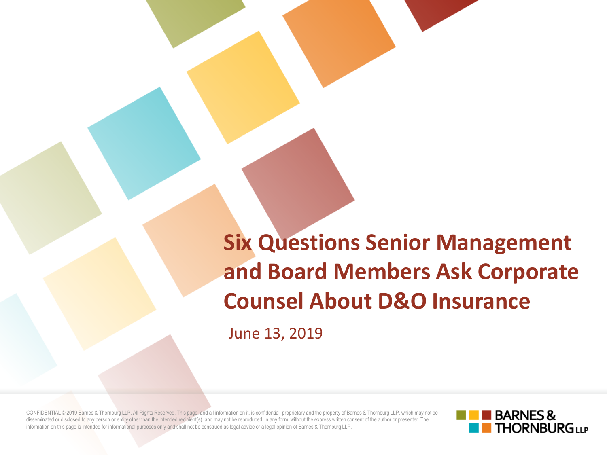**Six Questions Senior Management and Board Members Ask Corporate Counsel About D&O Insurance**

June 13, 2019

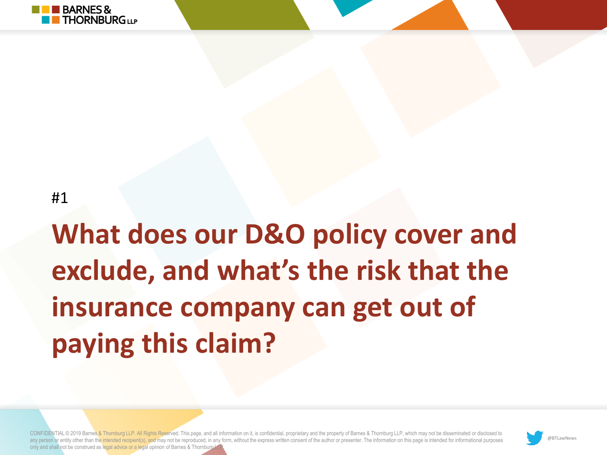

### **What does our D&O policy cover and exclude, and what's the risk that the insurance company can get out of paying this claim?**

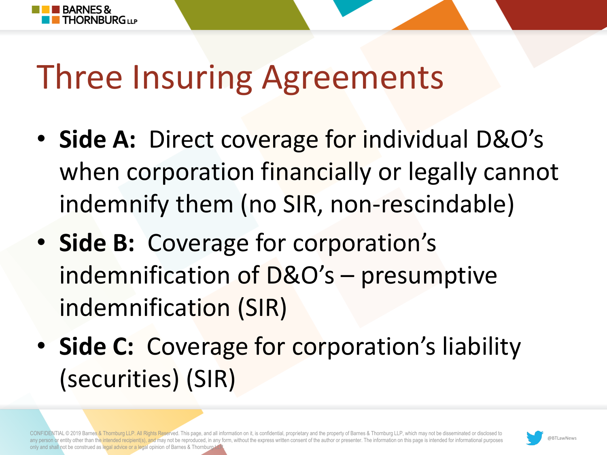

### Three Insuring Agreements

- **Side A:** Direct coverage for individual D&O's when corporation financially or legally cannot indemnify them (no SIR, non-rescindable)
- **Side B:** Coverage for corporation's indemnification of D&O's – presumptive indemnification (SIR)
- **Side C:** Coverage for corporation's liability (securities) (SIR)

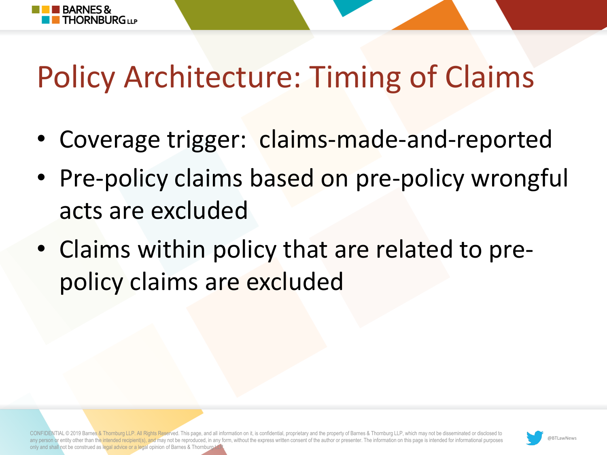

### Policy Architecture: Timing of Claims

- Coverage trigger: claims-made-and-reported
- Pre-policy claims based on pre-policy wrongful acts are excluded
- Claims within policy that are related to prepolicy claims are excluded

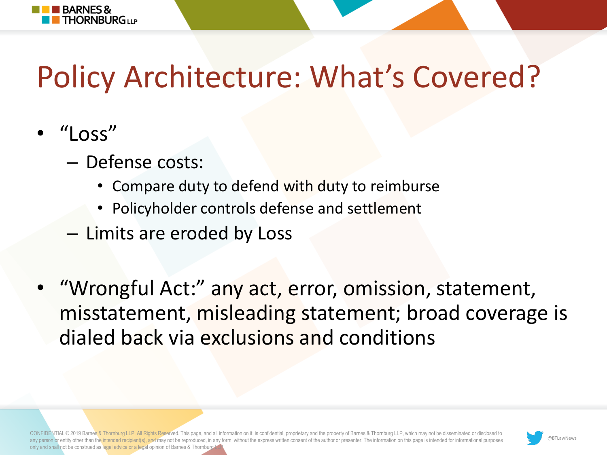

### Policy Architecture: What's Covered?

- "Loss"
	- Defense costs:
		- Compare duty to defend with duty to reimburse
		- Policyholder controls defense and settlement
	- Limits are eroded by Loss
- "Wrongful Act:" any act, error, omission, statement, misstatement, misleading statement; broad coverage is dialed back via exclusions and conditions

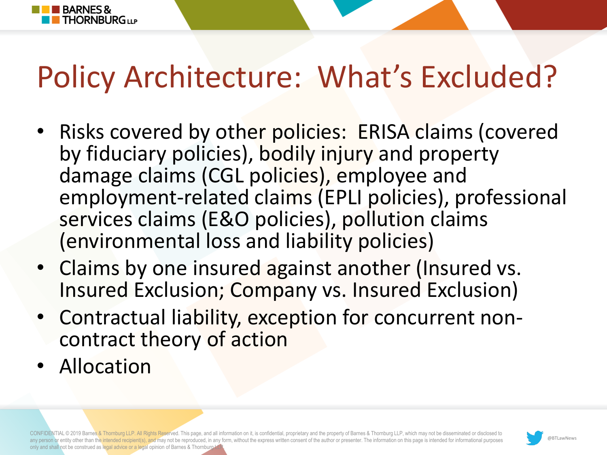

### Policy Architecture: What's Excluded?

- Risks covered by other policies: ERISA claims (covered by fiduciary policies), bodily injury and property damage claims (CGL policies), employee and employment-related claims (EPLI policies), professional services claims (E&O policies), pollution claims (environmental loss and liability policies)
- Claims by one insured against another (Insured vs. Insured Exclusion; Company vs. Insured Exclusion)
- Contractual liability, exception for concurrent noncontract theory of action
- Allocation

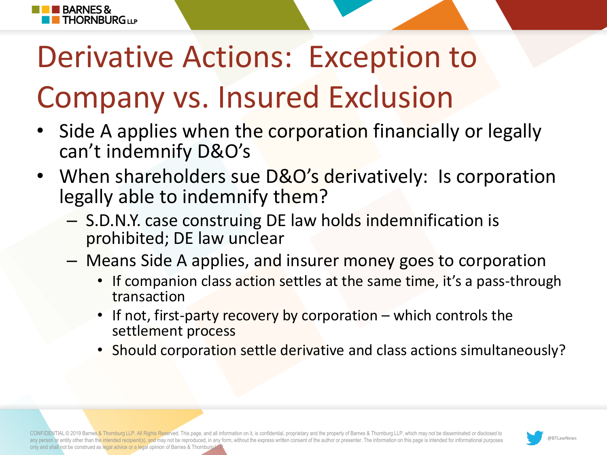# Derivative Actions: Exception to Company vs. Insured Exclusion

**BARNES&** 

**THORNBURG**<sub>UP</sub>

- Side A applies when the corporation financially or legally can't indemnify D&O's
- When shareholders sue D&O's derivatively: Is corporation legally able to indemnify them?
	- S.D.N.Y. case construing DE law holds indemnification is prohibited; DE law unclear
	- Means Side A applies, and insurer money goes to corporation
		- If companion class action settles at the same time, it's a pass-through transaction
		- If not, first-party recovery by corporation which controls the settlement process
		- Should corporation settle derivative and class actions simultaneously?

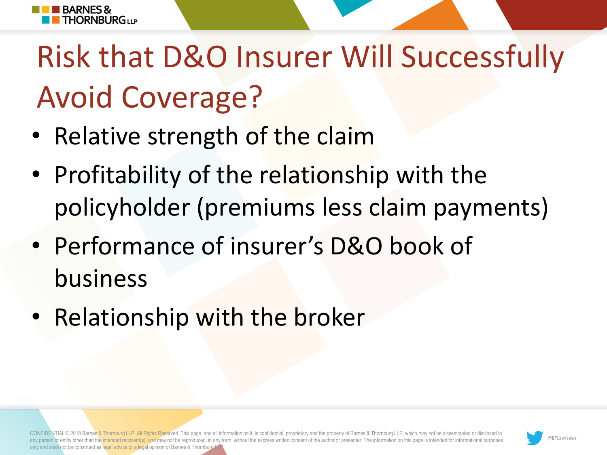

## Risk that D&O Insurer Will Successfully Avoid Coverage?

- Relative strength of the claim
- Profitability of the relationship with the policyholder (premiums less claim payments)
- Performance of insurer's D&O book of business
- Relationship with the broker

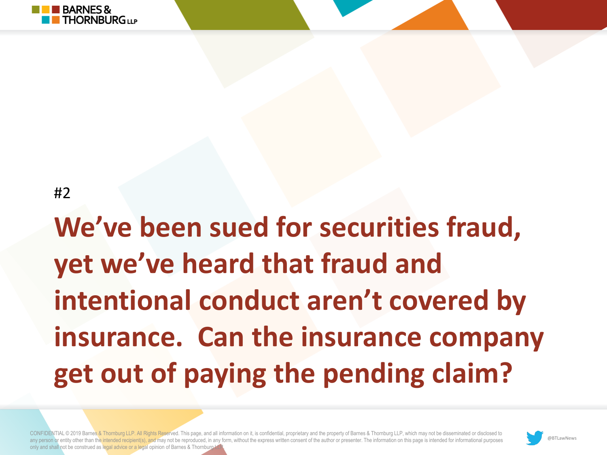

**We've been sued for securities fraud, yet we've heard that fraud and intentional conduct aren't covered by insurance. Can the insurance company get out of paying the pending claim?** 

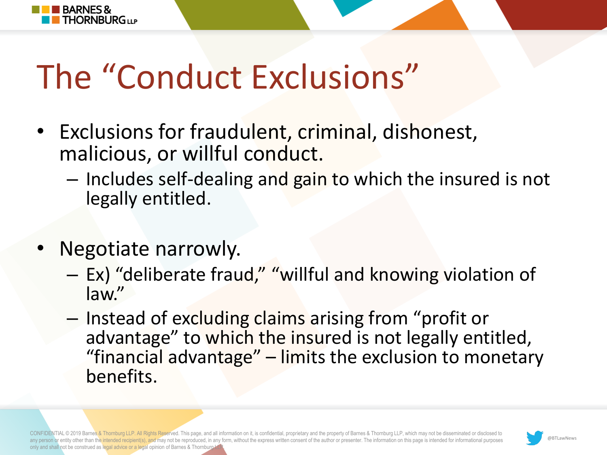

## The "Conduct Exclusions"

- Exclusions for fraudulent, criminal, dishonest, malicious, or willful conduct.
	- Includes self-dealing and gain to which the insured is not legally entitled.
- Negotiate narrowly.
	- Ex) "deliberate fraud," "willful and knowing violation of law."
	- Instead of excluding claims arising from "profit or advantage" to which the insured is not legally entitled, "financial advantage" – limits the exclusion to monetary benefits.

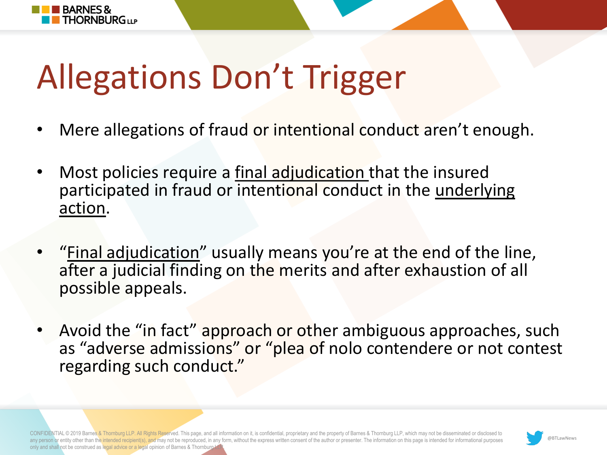

# Allegations Don't Trigger

- Mere allegations of fraud or intentional conduct aren't enough.
- Most policies require a final adjudication that the insured participated in fraud or intentional conduct in the underlying action.
- "<u>Final adjudication</u>" usually means you're at the end of the line, after a judicial finding on the merits and after exhaustion of all possible appeals.
- Avoid the "in fact" approach or other ambiguous approaches, such as "adverse admissions" or "plea of nolo contendere or not contest regarding such conduct."

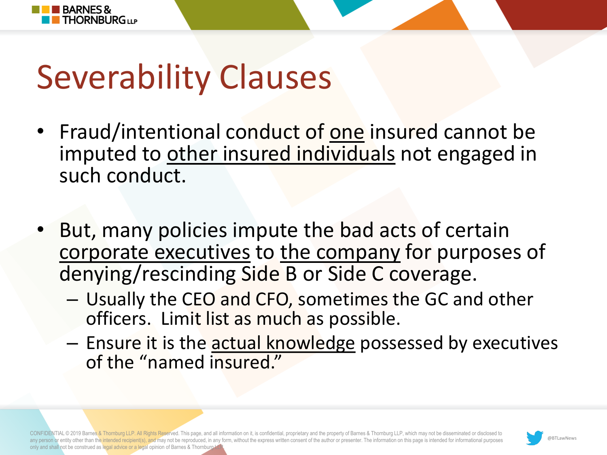

# Severability Clauses

- Fraud/intentional conduct of one insured cannot be imputed to other insured individuals not engaged in such conduct.
- But, many policies impute the bad acts of certain corporate executives to the company for purposes of denying/rescinding Side B or Side C coverage.
	- Usually the CEO and CFO, sometimes the GC and other officers. Limit list as much as possible.
	- Ensure it is the actual knowledge possessed by executives of the "named insured."

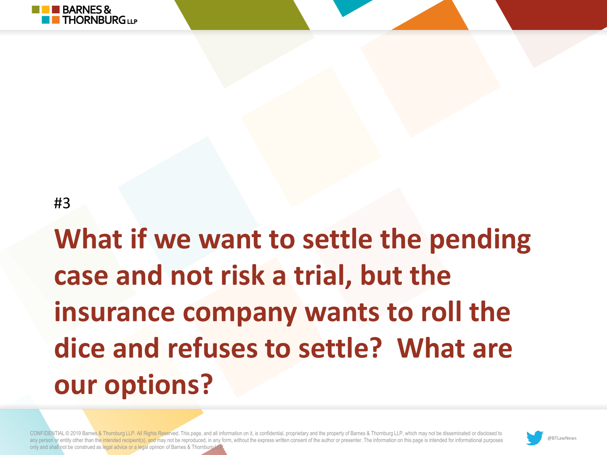

### **What if we want to settle the pending case and not risk a trial, but the insurance company wants to roll the dice and refuses to settle? What are our options?**

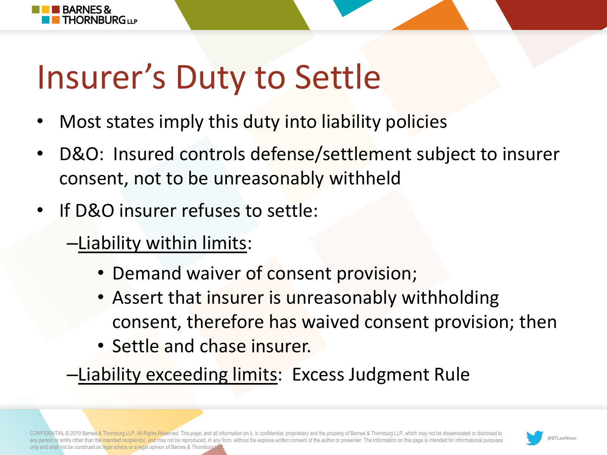

# Insurer's Duty to Settle

- Most states imply this duty into liability policies
- D&O: Insured controls defense/settlement subject to insurer consent, not to be unreasonably withheld
- If D&O insurer refuses to settle:
	- –Liability within limits:
		- Demand waiver of consent provision;
		- Assert that insurer is unreasonably withholding consent, therefore has waived consent provision; then
		- Settle and chase insurer.
	- –Liability exceeding limits: Excess Judgment Rule

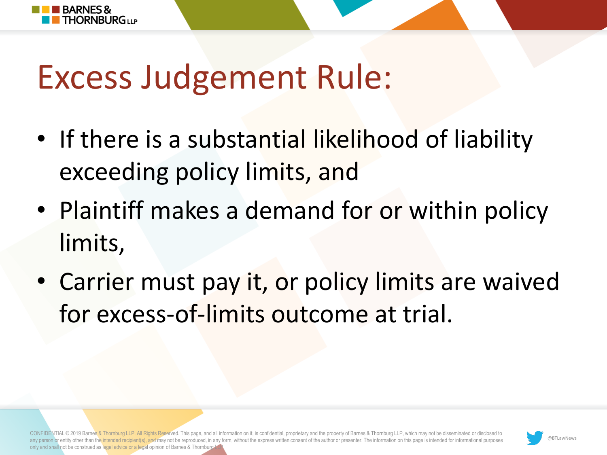

### Excess Judgement Rule:

- If there is a substantial likelihood of liability exceeding policy limits, and
- Plaintiff makes a demand for or within policy limits,
- Carrier must pay it, or policy limits are waived for excess-of-limits outcome at trial.

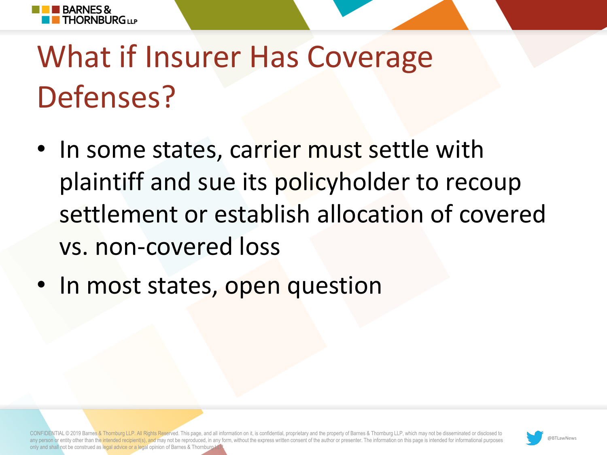

## What if Insurer Has Coverage Defenses?

- In some states, carrier must settle with plaintiff and sue its policyholder to recoup settlement or establish allocation of covered vs. non-covered loss
- In most states, open question

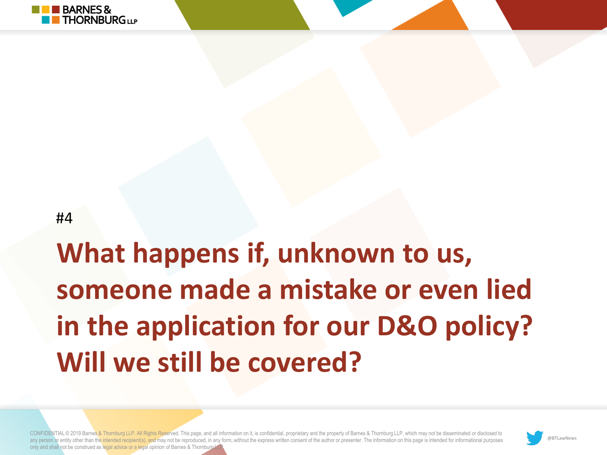

### **What happens if, unknown to us, someone made a mistake or even lied in the application for our D&O policy? Will we still be covered?**

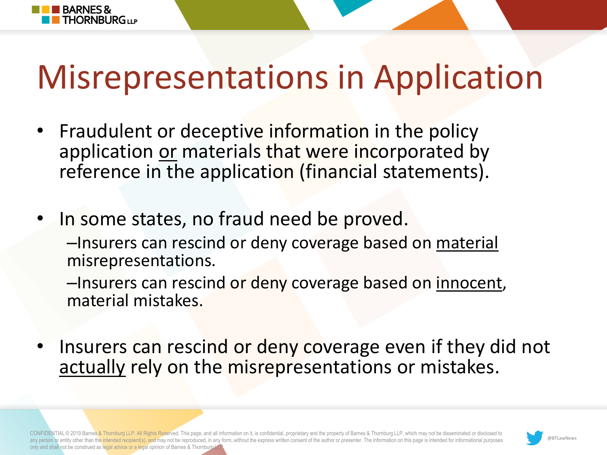# Misrepresentations in Application

• Fraudulent or deceptive information in the policy application or materials that were incorporated by reference in the application (financial statements).

**BARNES&** 

**FHORNBLIRG**ULP

In some states, no fraud need be proved. –Insurers can rescind or deny coverage based on material misrepresentations.

–Insurers can rescind or deny coverage based on innocent, material mistakes.

Insurers can rescind or deny coverage even if they did not actually rely on the misrepresentations or mistakes.

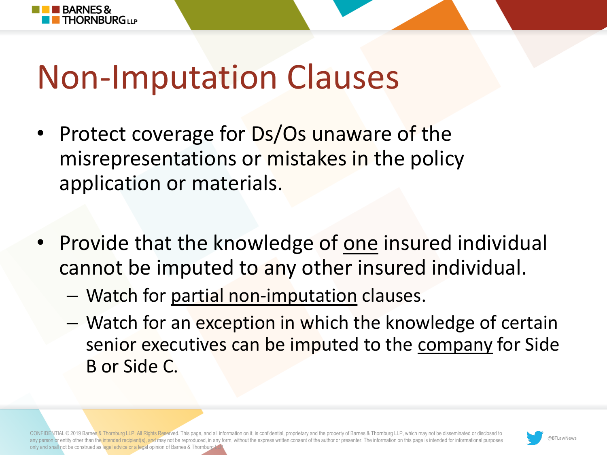

**BARNES&** 

**THORNBURG11P** 

- Protect coverage for Ds/Os unaware of the misrepresentations or mistakes in the policy application or materials.
- Provide that the knowledge of one insured individual cannot be imputed to any other insured individual.
	- Watch for partial non-imputation clauses.
	- Watch for an exception in which the knowledge of certain senior executives can be imputed to the company for Side B or Side C.

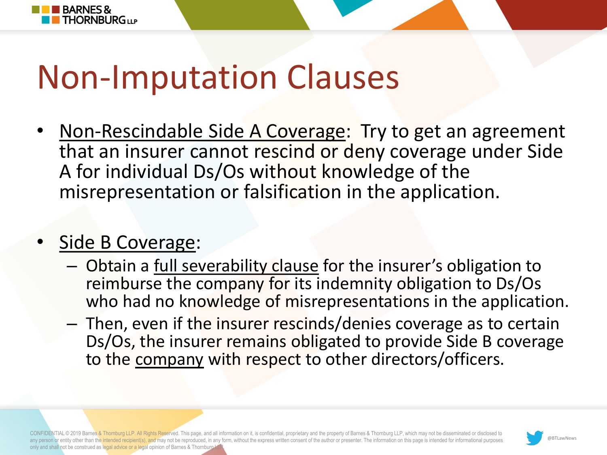

Non-Rescindable Side A Coverage: Try to get an agreement that an insurer cannot rescind or deny coverage under Side A for individual Ds/Os without knowledge of the misrepresentation or falsification in the application.

### • Side B Coverage:

**BARNES&** 

**THORNBURG**<sub>UP</sub>

- Obtain a full severability clause for the insurer's obligation to reimburse the company for its indemnity obligation to Ds/Os who had no knowledge of misrepresentations in the application.
- Then, even if the insurer rescinds/denies coverage as to certain Ds/Os, the insurer remains obligated to provide Side B coverage to the company with respect to other directors/officers.

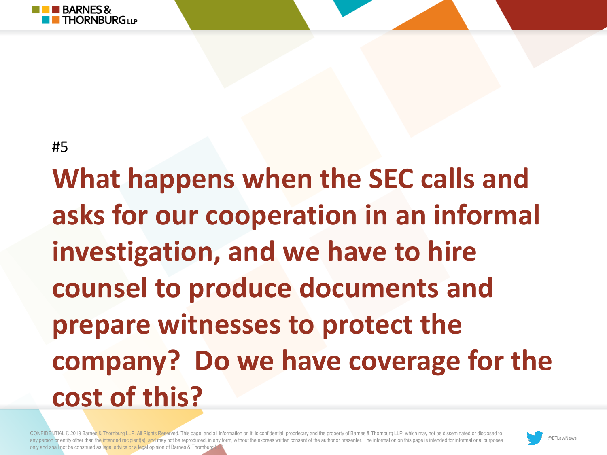

**What happens when the SEC calls and asks for our cooperation in an informal investigation, and we have to hire counsel to produce documents and prepare witnesses to protect the company? Do we have coverage for the cost of this?** 

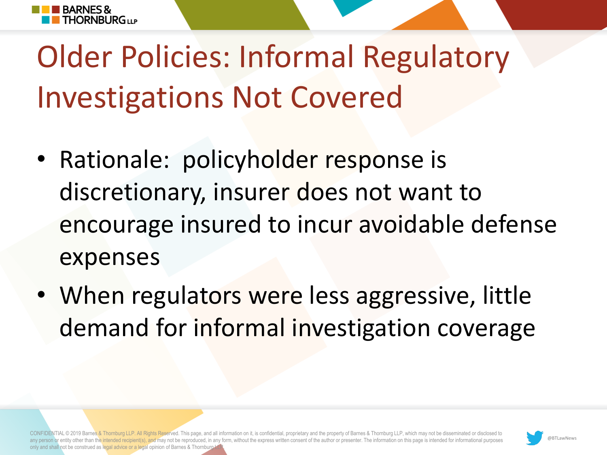

### Older Policies: Informal Regulatory Investigations Not Covered

- Rationale: policyholder response is discretionary, insurer does not want to encourage insured to incur avoidable defense expenses
- When regulators were less aggressive, little demand for informal investigation coverage

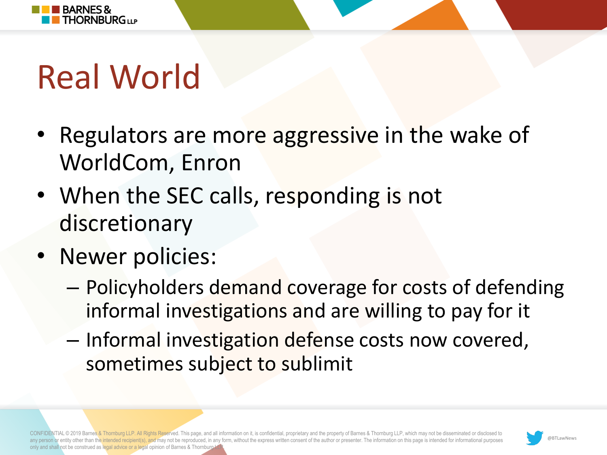

## Real World

- Regulators are more aggressive in the wake of WorldCom, Enron
- When the SEC calls, responding is not discretionary
- Newer policies:
	- Policyholders demand coverage for costs of defending informal investigations and are willing to pay for it
	- Informal investigation defense costs now covered, sometimes subject to sublimit

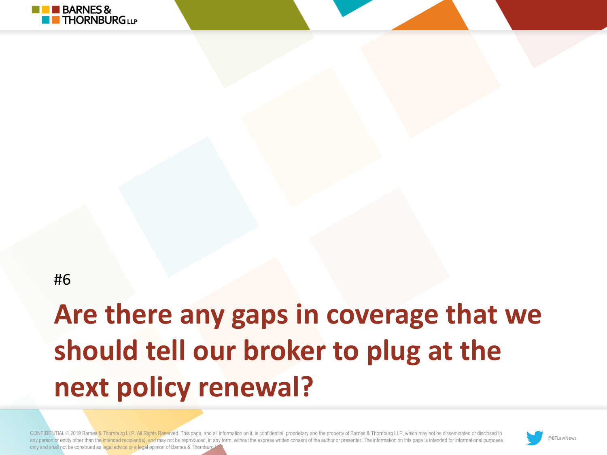

### **Are there any gaps in coverage that we should tell our broker to plug at the next policy renewal?**

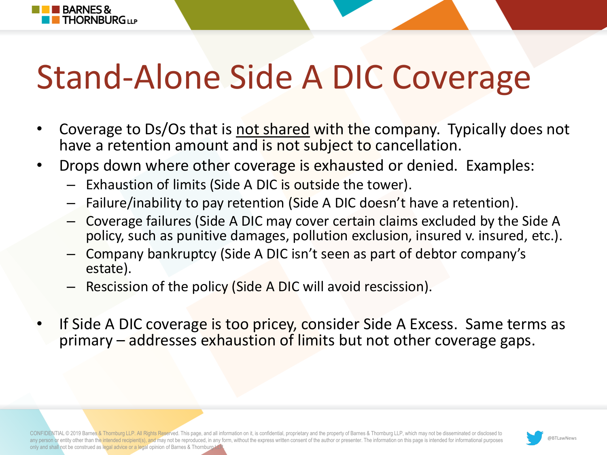# Stand-Alone Side A DIC Coverage

- Coverage to Ds/Os that is not shared with the company. Typically does not have a retention amount and is not subject to cancellation.
- Drops down where other coverage is exhausted or denied. Examples:
	- Exhaustion of limits (Side A DIC is outside the tower).

**BARNES&** 

**THORNBURG**<sub>LLP</sub>

- Failure/inability to pay retention (Side A DIC doesn't have a retention).
- Coverage failures (Side A DIC may cover certain claims excluded by the Side A policy, such as punitive damages, pollution exclusion, insured v. insured, etc.).
- Company bankruptcy (Side A DIC isn't seen as part of debtor company's estate).
- Rescission of the policy (Side A DIC will avoid rescission).
- If Side A DIC coverage is too pricey, consider Side A Excess. Same terms as primary – addresses exhaustion of limits but not other coverage gaps.

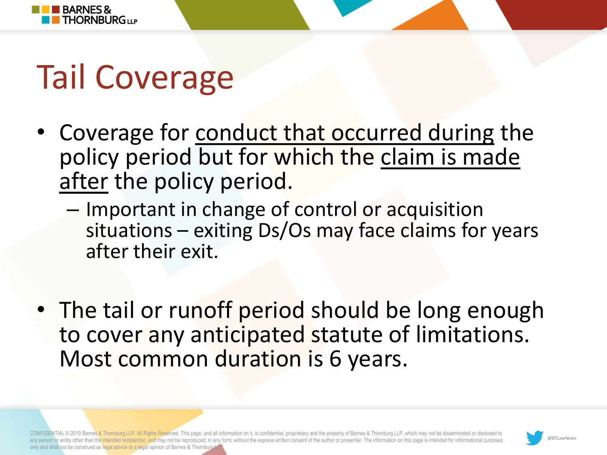

# Tail Coverage

- Coverage for conduct that occurred during the policy period but for which the claim is made after the policy period.
	- Important in change of control or acquisition situations – exiting Ds/Os may face claims for years after their exit.
- The tail or runoff period should be long enough to cover any anticipated statute of limitations. Most common duration is 6 years.

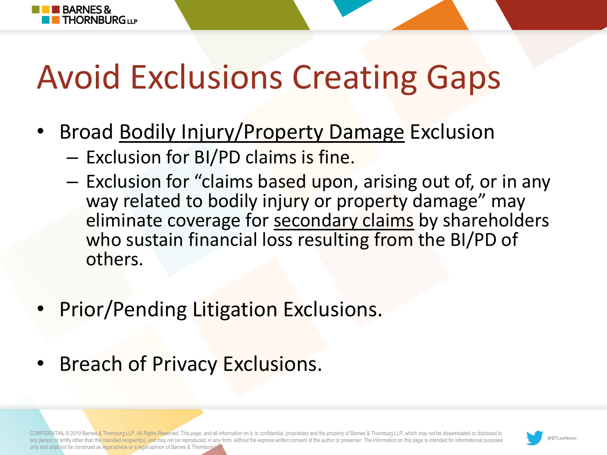# Avoid Exclusions Creating Gaps

- Broad Bodily Injury/Property Damage Exclusion
	- Exclusion for BI/PD claims is fine.

**BARNES&** 

**THORNBURG**UP

- Exclusion for "claims based upon, arising out of, or in any way related to bodily injury or property damage" may eliminate coverage for secondary claims by shareholders who sustain financial loss resulting from the BI/PD of others.
- Prior/Pending Litigation Exclusions.
- Breach of Privacy Exclusions.

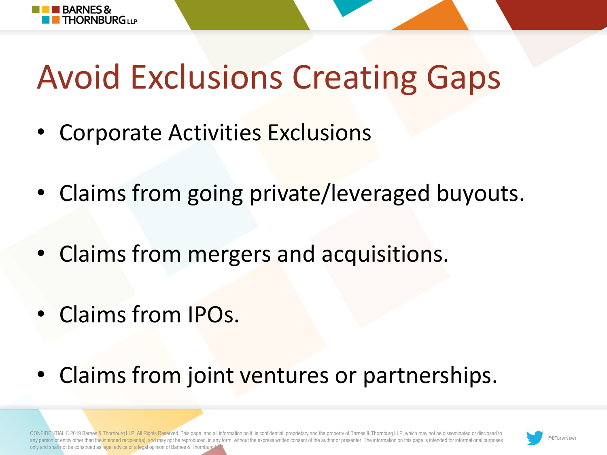

# Avoid Exclusions Creating Gaps

- Corporate Activities Exclusions
- Claims from going private/leveraged buyouts.
- Claims from mergers and acquisitions.
- Claims from IPOs.
- Claims from joint ventures or partnerships.

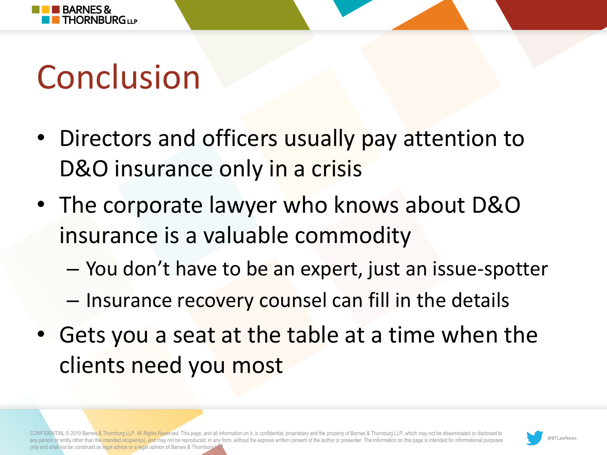

# Conclusion

- Directors and officers usually pay attention to D&O insurance only in a crisis
- The corporate lawyer who knows about D&O insurance is a valuable commodity
	- You don't have to be an expert, just an issue-spotter
	- Insurance recovery counsel can fill in the details
- Gets you a seat at the table at a time when the clients need you most